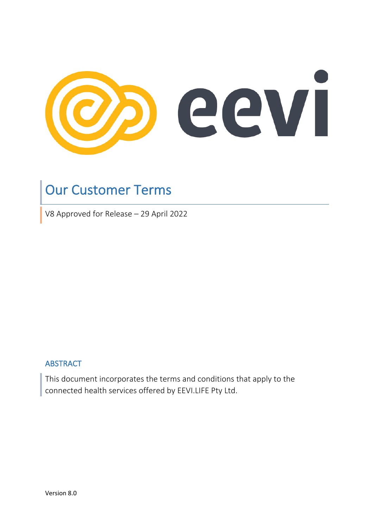

# Our Customer Terms

V8 Approved for Release – 29 April 2022

# ABSTRACT

This document incorporates the terms and conditions that apply to the connected health services offered by EEVI.LIFE Pty Ltd.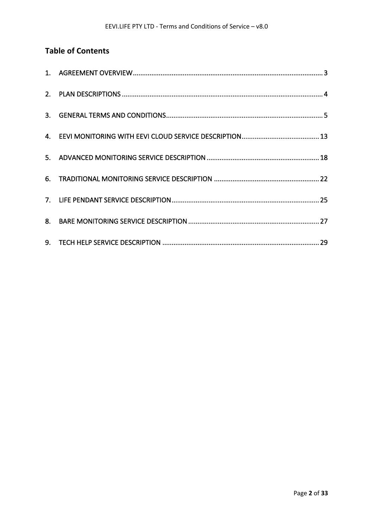# **Table of Contents**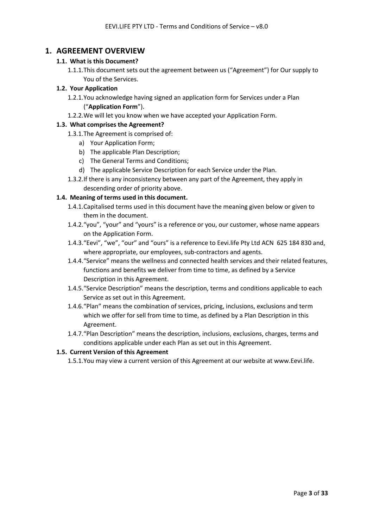## **1. AGREEMENT OVERVIEW**

#### **1.1. What is this Document?**

1.1.1.This document sets out the agreement between us ("Agreement") for Our supply to You of the Services.

## **1.2. Your Application**

- 1.2.1.You acknowledge having signed an application form for Services under a Plan ("**Application Form**").
- 1.2.2.We will let you know when we have accepted your Application Form.

## **1.3. What comprises the Agreement?**

- 1.3.1.The Agreement is comprised of:
	- a) Your Application Form;
	- b) The applicable Plan Description;
	- c) The General Terms and Conditions;
	- d) The applicable Service Description for each Service under the Plan.
- 1.3.2.If there is any inconsistency between any part of the Agreement, they apply in descending order of priority above.

## **1.4. Meaning of terms used in this document.**

- 1.4.1.Capitalised terms used in this document have the meaning given below or given to them in the document.
- 1.4.2."you", "your" and "yours" is a reference or you, our customer, whose name appears on the Application Form.
- 1.4.3."Eevi", "we", "our" and "ours" is a reference to Eevi.life Pty Ltd ACN 625 184 830 and, where appropriate, our employees, sub-contractors and agents.
- 1.4.4."Service" means the wellness and connected health services and their related features, functions and benefits we deliver from time to time, as defined by a Service Description in this Agreement.
- 1.4.5."Service Description" means the description, terms and conditions applicable to each Service as set out in this Agreement.
- 1.4.6."Plan" means the combination of services, pricing, inclusions, exclusions and term which we offer for sell from time to time, as defined by a Plan Description in this Agreement.
- 1.4.7."Plan Description" means the description, inclusions, exclusions, charges, terms and conditions applicable under each Plan as set out in this Agreement.

#### **1.5. Current Version of this Agreement**

1.5.1.You may view a current version of this Agreement at our website at www.Eevi.life.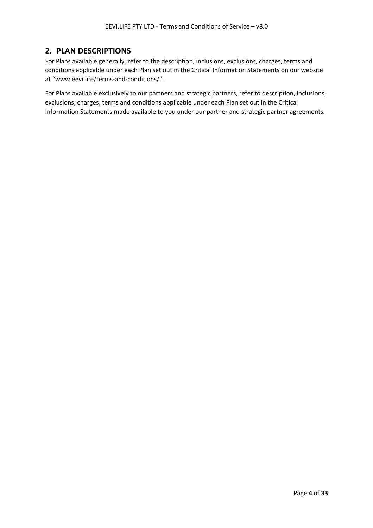# **2. PLAN DESCRIPTIONS**

For Plans available generally, refer to the description, inclusions, exclusions, charges, terms and conditions applicable under each Plan set out in the Critical Information Statements on our website at "www.eevi.life/terms-and-conditions/".

For Plans available exclusively to our partners and strategic partners, refer to description, inclusions, exclusions, charges, terms and conditions applicable under each Plan set out in the Critical Information Statements made available to you under our partner and strategic partner agreements.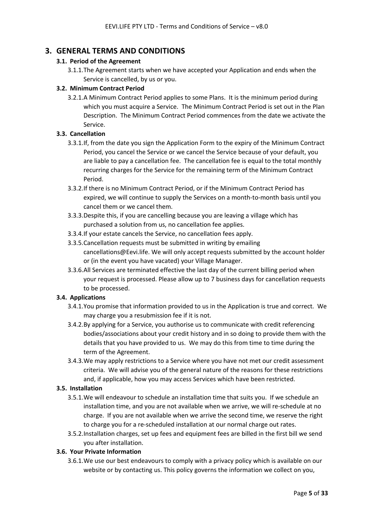# **3. GENERAL TERMS AND CONDITIONS**

#### **3.1. Period of the Agreement**

3.1.1.The Agreement starts when we have accepted your Application and ends when the Service is cancelled, by us or you.

## **3.2. Minimum Contract Period**

3.2.1.A Minimum Contract Period applies to some Plans. It is the minimum period during which you must acquire a Service. The Minimum Contract Period is set out in the Plan Description. The Minimum Contract Period commences from the date we activate the Service.

## **3.3. Cancellation**

- 3.3.1.If, from the date you sign the Application Form to the expiry of the Minimum Contract Period, you cancel the Service or we cancel the Service because of your default, you are liable to pay a cancellation fee. The cancellation fee is equal to the total monthly recurring charges for the Service for the remaining term of the Minimum Contract Period.
- 3.3.2.If there is no Minimum Contract Period, or if the Minimum Contract Period has expired, we will continue to supply the Services on a month-to-month basis until you cancel them or we cancel them.
- 3.3.3.Despite this, if you are cancelling because you are leaving a village which has purchased a solution from us, no cancellation fee applies.
- 3.3.4.If your estate cancels the Service, no cancellation fees apply.
- 3.3.5.Cancellation requests must be submitted in writing by emailing cancellations@Eevi.life. We will only accept requests submitted by the account holder or (in the event you have vacated) your Village Manager.
- 3.3.6.All Services are terminated effective the last day of the current billing period when your request is processed. Please allow up to 7 business days for cancellation requests to be processed.

#### **3.4. Applications**

- 3.4.1.You promise that information provided to us in the Application is true and correct. We may charge you a resubmission fee if it is not.
- 3.4.2.By applying for a Service, you authorise us to communicate with credit referencing bodies/associations about your credit history and in so doing to provide them with the details that you have provided to us. We may do this from time to time during the term of the Agreement.
- 3.4.3.We may apply restrictions to a Service where you have not met our credit assessment criteria. We will advise you of the general nature of the reasons for these restrictions and, if applicable, how you may access Services which have been restricted.

## **3.5. Installation**

- 3.5.1.We will endeavour to schedule an installation time that suits you. If we schedule an installation time, and you are not available when we arrive, we will re-schedule at no charge. If you are not available when we arrive the second time, we reserve the right to charge you for a re-scheduled installation at our normal charge out rates.
- 3.5.2.Installation charges, set up fees and equipment fees are billed in the first bill we send you after installation.

## **3.6. Your Private Information**

3.6.1.We use our best endeavours to comply with a privacy policy which is available on our website or by contacting us. This policy governs the information we collect on you,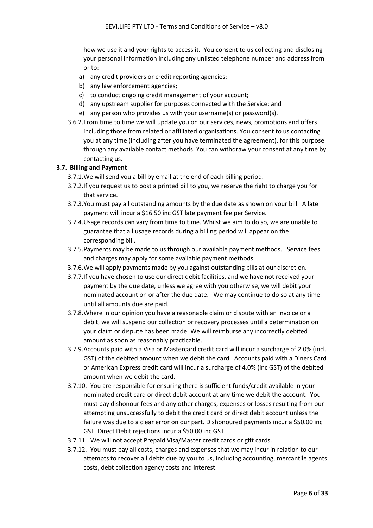how we use it and your rights to access it. You consent to us collecting and disclosing your personal information including any unlisted telephone number and address from or to:

- a) any credit providers or credit reporting agencies;
- b) any law enforcement agencies;
- c) to conduct ongoing credit management of your account;
- d) any upstream supplier for purposes connected with the Service; and
- e) any person who provides us with your username(s) or password(s).
- 3.6.2.From time to time we will update you on our services, news, promotions and offers including those from related or affiliated organisations. You consent to us contacting you at any time (including after you have terminated the agreement), for this purpose through any available contact methods. You can withdraw your consent at any time by contacting us.

#### **3.7. Billing and Payment**

- 3.7.1.We will send you a bill by email at the end of each billing period.
- 3.7.2.If you request us to post a printed bill to you, we reserve the right to charge you for that service.
- 3.7.3.You must pay all outstanding amounts by the due date as shown on your bill. A late payment will incur a \$16.50 inc GST late payment fee per Service.
- 3.7.4.Usage records can vary from time to time. Whilst we aim to do so, we are unable to guarantee that all usage records during a billing period will appear on the corresponding bill.
- 3.7.5.Payments may be made to us through our available payment methods. Service fees and charges may apply for some available payment methods.
- 3.7.6.We will apply payments made by you against outstanding bills at our discretion.
- 3.7.7.If you have chosen to use our direct debit facilities, and we have not received your payment by the due date, unless we agree with you otherwise, we will debit your nominated account on or after the due date. We may continue to do so at any time until all amounts due are paid.
- 3.7.8.Where in our opinion you have a reasonable claim or dispute with an invoice or a debit, we will suspend our collection or recovery processes until a determination on your claim or dispute has been made. We will reimburse any incorrectly debited amount as soon as reasonably practicable.
- 3.7.9.Accounts paid with a Visa or Mastercard credit card will incur a surcharge of 2.0% (incl. GST) of the debited amount when we debit the card. Accounts paid with a Diners Card or American Express credit card will incur a surcharge of 4.0% (inc GST) of the debited amount when we debit the card.
- 3.7.10. You are responsible for ensuring there is sufficient funds/credit available in your nominated credit card or direct debit account at any time we debit the account. You must pay dishonour fees and any other charges, expenses or losses resulting from our attempting unsuccessfully to debit the credit card or direct debit account unless the failure was due to a clear error on our part. Dishonoured payments incur a \$50.00 inc GST. Direct Debit rejections incur a \$50.00 inc GST.
- 3.7.11. We will not accept Prepaid Visa/Master credit cards or gift cards.
- 3.7.12. You must pay all costs, charges and expenses that we may incur in relation to our attempts to recover all debts due by you to us, including accounting, mercantile agents costs, debt collection agency costs and interest.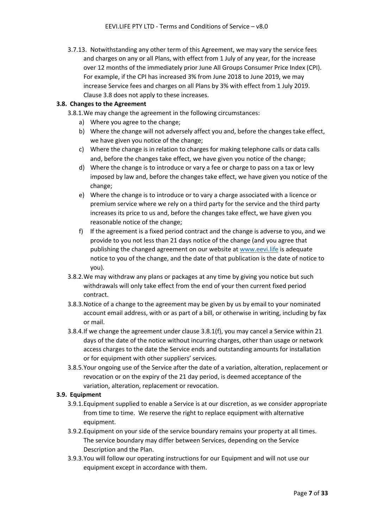3.7.13. Notwithstanding any other term of this Agreement, we may vary the service fees and charges on any or all Plans, with effect from 1 July of any year, for the increase over 12 months of the immediately prior June All Groups Consumer Price Index (CPI). For example, if the CPI has increased 3% from June 2018 to June 2019, we may increase Service fees and charges on all Plans by 3% with effect from 1 July 2019. Clause 3.8 does not apply to these increases.

#### **3.8. Changes to the Agreement**

- 3.8.1.We may change the agreement in the following circumstances:
	- a) Where you agree to the change;
	- b) Where the change will not adversely affect you and, before the changes take effect, we have given you notice of the change;
	- c) Where the change is in relation to charges for making telephone calls or data calls and, before the changes take effect, we have given you notice of the change;
	- d) Where the change is to introduce or vary a fee or charge to pass on a tax or levy imposed by law and, before the changes take effect, we have given you notice of the change;
	- e) Where the change is to introduce or to vary a charge associated with a licence or premium service where we rely on a third party for the service and the third party increases its price to us and, before the changes take effect, we have given you reasonable notice of the change;
	- f) If the agreement is a fixed period contract and the change is adverse to you, and we provide to you not less than 21 days notice of the change (and you agree that publishing the changed agreement on our website at www.eevi.life is adequate notice to you of the change, and the date of that publication is the date of notice to you).
- 3.8.2.We may withdraw any plans or packages at any time by giving you notice but such withdrawals will only take effect from the end of your then current fixed period contract.
- 3.8.3.Notice of a change to the agreement may be given by us by email to your nominated account email address, with or as part of a bill, or otherwise in writing, including by fax or mail.
- 3.8.4.If we change the agreement under clause 3.8.1(f), you may cancel a Service within 21 days of the date of the notice without incurring charges, other than usage or network access charges to the date the Service ends and outstanding amounts for installation or for equipment with other suppliers' services.
- 3.8.5.Your ongoing use of the Service after the date of a variation, alteration, replacement or revocation or on the expiry of the 21 day period, is deemed acceptance of the variation, alteration, replacement or revocation.

#### **3.9. Equipment**

- 3.9.1.Equipment supplied to enable a Service is at our discretion, as we consider appropriate from time to time. We reserve the right to replace equipment with alternative equipment.
- 3.9.2.Equipment on your side of the service boundary remains your property at all times. The service boundary may differ between Services, depending on the Service Description and the Plan.
- 3.9.3.You will follow our operating instructions for our Equipment and will not use our equipment except in accordance with them.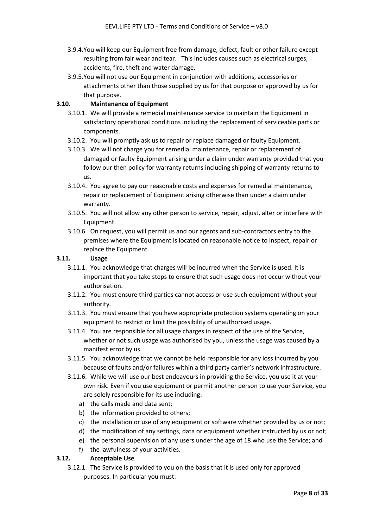- 3.9.4.You will keep our Equipment free from damage, defect, fault or other failure except resulting from fair wear and tear. This includes causes such as electrical surges, accidents, fire, theft and water damage.
- 3.9.5.You will not use our Equipment in conjunction with additions, accessories or attachments other than those supplied by us for that purpose or approved by us for that purpose.

## **3.10. Maintenance of Equipment**

- 3.10.1. We will provide a remedial maintenance service to maintain the Equipment in satisfactory operational conditions including the replacement of serviceable parts or components.
- 3.10.2. You will promptly ask us to repair or replace damaged or faulty Equipment.
- 3.10.3. We will not charge you for remedial maintenance, repair or replacement of damaged or faulty Equipment arising under a claim under warranty provided that you follow our then policy for warranty returns including shipping of warranty returns to us.
- 3.10.4. You agree to pay our reasonable costs and expenses for remedial maintenance, repair or replacement of Equipment arising otherwise than under a claim under warranty.
- 3.10.5. You will not allow any other person to service, repair, adjust, alter or interfere with Equipment.
- 3.10.6. On request, you will permit us and our agents and sub-contractors entry to the premises where the Equipment is located on reasonable notice to inspect, repair or replace the Equipment.

#### **3.11. Usage**

- 3.11.1. You acknowledge that charges will be incurred when the Service is used. It is important that you take steps to ensure that such usage does not occur without your authorisation.
- 3.11.2. You must ensure third parties cannot access or use such equipment without your authority.
- 3.11.3. You must ensure that you have appropriate protection systems operating on your equipment to restrict or limit the possibility of unauthorised usage.
- 3.11.4. You are responsible for all usage charges in respect of the use of the Service, whether or not such usage was authorised by you, unless the usage was caused by a manifest error by us.
- 3.11.5. You acknowledge that we cannot be held responsible for any loss incurred by you because of faults and/or failures within a third party carrier's network infrastructure.
- 3.11.6. While we will use our best endeavours in providing the Service, you use it at your own risk. Even if you use equipment or permit another person to use your Service, you are solely responsible for its use including:
	- a) the calls made and data sent;
	- b) the information provided to others;
	- c) the installation or use of any equipment or software whether provided by us or not;
	- d) the modification of any settings, data or equipment whether instructed by us or not;
	- e) the personal supervision of any users under the age of 18 who use the Service; and
	- f) the lawfulness of your activities.

## **3.12. Acceptable Use**

3.12.1. The Service is provided to you on the basis that it is used only for approved purposes. In particular you must: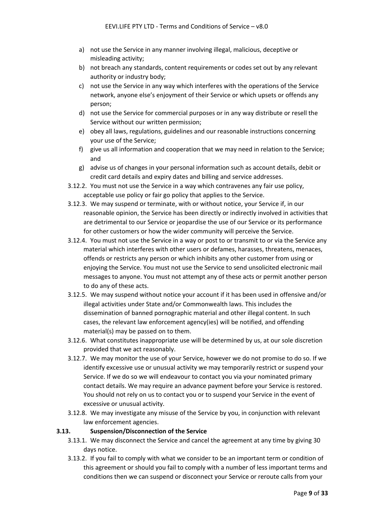- a) not use the Service in any manner involving illegal, malicious, deceptive or misleading activity;
- b) not breach any standards, content requirements or codes set out by any relevant authority or industry body;
- c) not use the Service in any way which interferes with the operations of the Service network, anyone else's enjoyment of their Service or which upsets or offends any person;
- d) not use the Service for commercial purposes or in any way distribute or resell the Service without our written permission;
- e) obey all laws, regulations, guidelines and our reasonable instructions concerning your use of the Service;
- f) give us all information and cooperation that we may need in relation to the Service; and
- g) advise us of changes in your personal information such as account details, debit or credit card details and expiry dates and billing and service addresses.
- 3.12.2. You must not use the Service in a way which contravenes any fair use policy, acceptable use policy or fair go policy that applies to the Service.
- 3.12.3. We may suspend or terminate, with or without notice, your Service if, in our reasonable opinion, the Service has been directly or indirectly involved in activities that are detrimental to our Service or jeopardise the use of our Service or its performance for other customers or how the wider community will perceive the Service.
- 3.12.4. You must not use the Service in a way or post to or transmit to or via the Service any material which interferes with other users or defames, harasses, threatens, menaces, offends or restricts any person or which inhibits any other customer from using or enjoying the Service. You must not use the Service to send unsolicited electronic mail messages to anyone. You must not attempt any of these acts or permit another person to do any of these acts.
- 3.12.5. We may suspend without notice your account if it has been used in offensive and/or illegal activities under State and/or Commonwealth laws. This includes the dissemination of banned pornographic material and other illegal content. In such cases, the relevant law enforcement agency(ies) will be notified, and offending material(s) may be passed on to them.
- 3.12.6. What constitutes inappropriate use will be determined by us, at our sole discretion provided that we act reasonably.
- 3.12.7. We may monitor the use of your Service, however we do not promise to do so. If we identify excessive use or unusual activity we may temporarily restrict or suspend your Service. If we do so we will endeavour to contact you via your nominated primary contact details. We may require an advance payment before your Service is restored. You should not rely on us to contact you or to suspend your Service in the event of excessive or unusual activity.
- 3.12.8. We may investigate any misuse of the Service by you, in conjunction with relevant law enforcement agencies.

#### **3.13. Suspension/Disconnection of the Service**

- 3.13.1. We may disconnect the Service and cancel the agreement at any time by giving 30 days notice.
- 3.13.2. If you fail to comply with what we consider to be an important term or condition of this agreement or should you fail to comply with a number of less important terms and conditions then we can suspend or disconnect your Service or reroute calls from your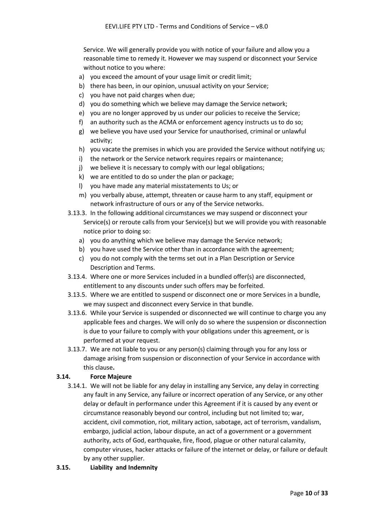Service. We will generally provide you with notice of your failure and allow you a reasonable time to remedy it. However we may suspend or disconnect your Service without notice to you where:

- a) you exceed the amount of your usage limit or credit limit;
- b) there has been, in our opinion, unusual activity on your Service;
- c) you have not paid charges when due;
- d) you do something which we believe may damage the Service network;
- e) you are no longer approved by us under our policies to receive the Service;
- f) an authority such as the ACMA or enforcement agency instructs us to do so;
- g) we believe you have used your Service for unauthorised, criminal or unlawful activity;
- h) you vacate the premises in which you are provided the Service without notifying us;
- i) the network or the Service network requires repairs or maintenance;
- j) we believe it is necessary to comply with our legal obligations;
- k) we are entitled to do so under the plan or package;
- l) you have made any material misstatements to Us; or
- m) you verbally abuse, attempt, threaten or cause harm to any staff, equipment or network infrastructure of ours or any of the Service networks.
- 3.13.3. In the following additional circumstances we may suspend or disconnect your Service(s) or reroute calls from your Service(s) but we will provide you with reasonable notice prior to doing so:
	- a) you do anything which we believe may damage the Service network;
	- b) you have used the Service other than in accordance with the agreement;
	- c) you do not comply with the terms set out in a Plan Description or Service Description and Terms.
- 3.13.4. Where one or more Services included in a bundled offer(s) are disconnected, entitlement to any discounts under such offers may be forfeited.
- 3.13.5. Where we are entitled to suspend or disconnect one or more Services in a bundle, we may suspect and disconnect every Service in that bundle.
- 3.13.6. While your Service is suspended or disconnected we will continue to charge you any applicable fees and charges. We will only do so where the suspension or disconnection is due to your failure to comply with your obligations under this agreement, or is performed at your request.
- 3.13.7. We are not liable to you or any person(s) claiming through you for any loss or damage arising from suspension or disconnection of your Service in accordance with this clause**.**

#### **3.14. Force Majeure**

3.14.1. We will not be liable for any delay in installing any Service, any delay in correcting any fault in any Service, any failure or incorrect operation of any Service, or any other delay or default in performance under this Agreement if it is caused by any event or circumstance reasonably beyond our control, including but not limited to; war, accident, civil commotion, riot, military action, sabotage, act of terrorism, vandalism, embargo, judicial action, labour dispute, an act of a government or a government authority, acts of God, earthquake, fire, flood, plague or other natural calamity, computer viruses, hacker attacks or failure of the internet or delay, or failure or default by any other supplier.

#### **3.15. Liability and Indemnity**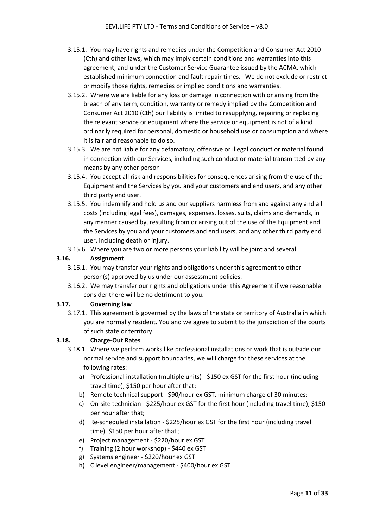- 3.15.1. You may have rights and remedies under the Competition and Consumer Act 2010 (Cth) and other laws, which may imply certain conditions and warranties into this agreement, and under the Customer Service Guarantee issued by the ACMA, which established minimum connection and fault repair times. We do not exclude or restrict or modify those rights, remedies or implied conditions and warranties.
- 3.15.2. Where we are liable for any loss or damage in connection with or arising from the breach of any term, condition, warranty or remedy implied by the Competition and Consumer Act 2010 (Cth) our liability is limited to resupplying, repairing or replacing the relevant service or equipment where the service or equipment is not of a kind ordinarily required for personal, domestic or household use or consumption and where it is fair and reasonable to do so.
- 3.15.3. We are not liable for any defamatory, offensive or illegal conduct or material found in connection with our Services, including such conduct or material transmitted by any means by any other person
- 3.15.4. You accept all risk and responsibilities for consequences arising from the use of the Equipment and the Services by you and your customers and end users, and any other third party end user.
- 3.15.5. You indemnify and hold us and our suppliers harmless from and against any and all costs (including legal fees), damages, expenses, losses, suits, claims and demands, in any manner caused by, resulting from or arising out of the use of the Equipment and the Services by you and your customers and end users, and any other third party end user, including death or injury.
- 3.15.6. Where you are two or more persons your liability will be joint and several.

## **3.16. Assignment**

- 3.16.1. You may transfer your rights and obligations under this agreement to other person(s) approved by us under our assessment policies.
- 3.16.2. We may transfer our rights and obligations under this Agreement if we reasonable consider there will be no detriment to you.

#### **3.17. Governing law**

3.17.1. This agreement is governed by the laws of the state or territory of Australia in which you are normally resident. You and we agree to submit to the jurisdiction of the courts of such state or territory.

#### **3.18. Charge-Out Rates**

- 3.18.1. Where we perform works like professional installations or work that is outside our normal service and support boundaries, we will charge for these services at the following rates:
	- a) Professional installation (multiple units) \$150 ex GST for the first hour (including travel time), \$150 per hour after that;
	- b) Remote technical support \$90/hour ex GST, minimum charge of 30 minutes;
	- c) On-site technician \$225/hour ex GST for the first hour (including travel time), \$150 per hour after that;
	- d) Re-scheduled installation \$225/hour ex GST for the first hour (including travel time), \$150 per hour after that ;
	- e) Project management \$220/hour ex GST
	- f) Training (2 hour workshop) \$440 ex GST
	- g) Systems engineer \$220/hour ex GST
	- h) C level engineer/management \$400/hour ex GST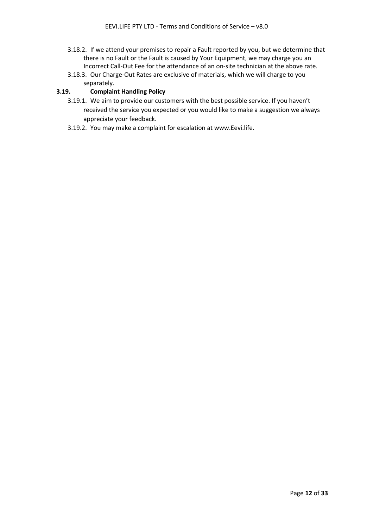- 3.18.2. If we attend your premises to repair a Fault reported by you, but we determine that there is no Fault or the Fault is caused by Your Equipment, we may charge you an Incorrect Call-Out Fee for the attendance of an on-site technician at the above rate.
- 3.18.3. Our Charge-Out Rates are exclusive of materials, which we will charge to you separately.

## **3.19. Complaint Handling Policy**

- 3.19.1. We aim to provide our customers with the best possible service. If you haven't received the service you expected or you would like to make a suggestion we always appreciate your feedback.
- 3.19.2. You may make a complaint for escalation at www.Eevi.life.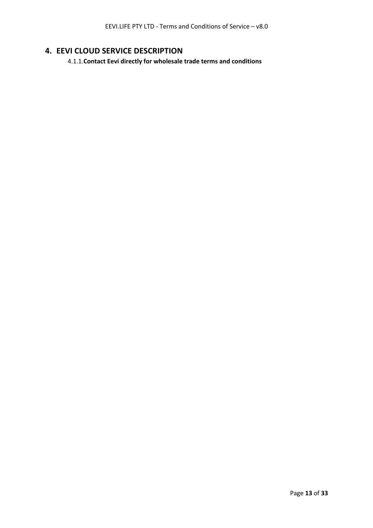# **4. EEVI CLOUD SERVICE DESCRIPTION**

4.1.1.**Contact Eevi directly for wholesale trade terms and conditions**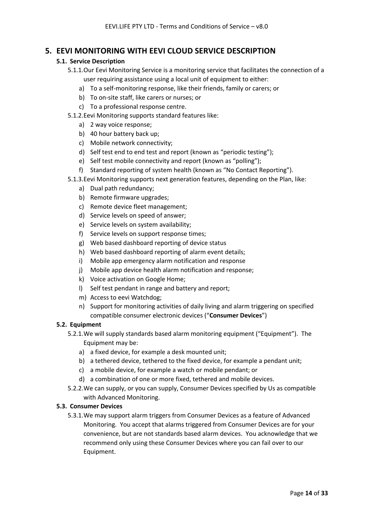# **5. EEVI MONITORING WITH EEVI CLOUD SERVICE DESCRIPTION**

## **5.1. Service Description**

- 5.1.1.Our Eevi Monitoring Service is a monitoring service that facilitates the connection of a user requiring assistance using a local unit of equipment to either:
	- a) To a self-monitoring response, like their friends, family or carers; or
	- b) To on-site staff, like carers or nurses; or
	- c) To a professional response centre.
- 5.1.2.Eevi Monitoring supports standard features like:
	- a) 2 way voice response;
	- b) 40 hour battery back up;
	- c) Mobile network connectivity;
	- d) Self test end to end test and report (known as "periodic testing");
	- e) Self test mobile connectivity and report (known as "polling");
	- f) Standard reporting of system health (known as "No Contact Reporting").
- 5.1.3.Eevi Monitoring supports next generation features, depending on the Plan, like:
	- a) Dual path redundancy;
	- b) Remote firmware upgrades;
	- c) Remote device fleet management;
	- d) Service levels on speed of answer;
	- e) Service levels on system availability;
	- f) Service levels on support response times;
	- g) Web based dashboard reporting of device status
	- h) Web based dashboard reporting of alarm event details;
	- i) Mobile app emergency alarm notification and response
	- j) Mobile app device health alarm notification and response;
	- k) Voice activation on Google Home;
	- l) Self test pendant in range and battery and report;
	- m) Access to eevi Watchdog;
	- n) Support for monitoring activities of daily living and alarm triggering on specified compatible consumer electronic devices ("**Consumer Devices**")

#### **5.2. Equipment**

- 5.2.1.We will supply standards based alarm monitoring equipment ("Equipment"). The Equipment may be:
	- a) a fixed device, for example a desk mounted unit;
	- b) a tethered device, tethered to the fixed device, for example a pendant unit;
	- c) a mobile device, for example a watch or mobile pendant; or
	- d) a combination of one or more fixed, tethered and mobile devices.
- 5.2.2.We can supply, or you can supply, Consumer Devices specified by Us as compatible with Advanced Monitoring.

## **5.3. Consumer Devices**

5.3.1.We may support alarm triggers from Consumer Devices as a feature of Advanced Monitoring. You accept that alarms triggered from Consumer Devices are for your convenience, but are not standards based alarm devices. You acknowledge that we recommend only using these Consumer Devices where you can fail over to our Equipment.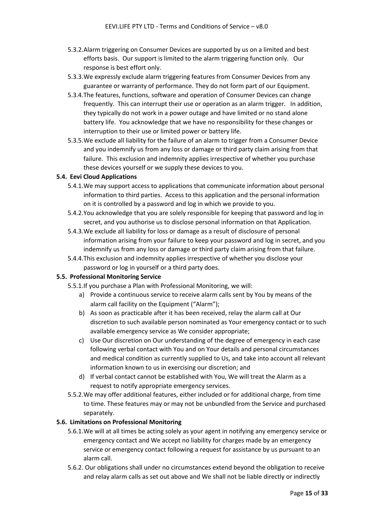- 5.3.2.Alarm triggering on Consumer Devices are supported by us on a limited and best efforts basis. Our support is limited to the alarm triggering function only. Our response is best effort only.
- 5.3.3.We expressly exclude alarm triggering features from Consumer Devices from any guarantee or warranty of performance. They do not form part of our Equipment.
- 5.3.4.The features, functions, software and operation of Consumer Devices can change frequently. This can interrupt their use or operation as an alarm trigger. In addition, they typically do not work in a power outage and have limited or no stand alone battery life. You acknowledge that we have no responsibility for these changes or interruption to their use or limited power or battery life.
- 5.3.5.We exclude all liability for the failure of an alarm to trigger from a Consumer Device and you indemnify us from any loss or damage or third party claim arising from that failure. This exclusion and indemnity applies irrespective of whether you purchase these devices yourself or we supply these devices to you.

## **5.4. Eevi Cloud Applications**

- 5.4.1.We may support access to applications that communicate information about personal information to third parties. Access to this application and the personal information on it is controlled by a password and log in which we provide to you.
- 5.4.2.You acknowledge that you are solely responsible for keeping that password and log in secret, and you authorise us to disclose personal information on that Application.
- 5.4.3.We exclude all liability for loss or damage as a result of disclosure of personal information arising from your failure to keep your password and log in secret, and you indemnify us from any loss or damage or third party claim arising from that failure.
- 5.4.4.This exclusion and indemnity applies irrespective of whether you disclose your password or log in yourself or a third party does.

#### **5.5. Professional Monitoring Service**

- 5.5.1.If you purchase a Plan with Professional Monitoring, we will:
	- a) Provide a continuous service to receive alarm calls sent by You by means of the alarm call facility on the Equipment ("Alarm");
	- b) As soon as practicable after it has been received, relay the alarm call at Our discretion to such available person nominated as Your emergency contact or to such available emergency service as We consider appropriate;
	- c) Use Our discretion on Our understanding of the degree of emergency in each case following verbal contact with You and on Your details and personal circumstances and medical condition as currently supplied to Us, and take into account all relevant information known to us in exercising our discretion; and
	- d) If verbal contact cannot be established with You, We will treat the Alarm as a request to notify appropriate emergency services.
- 5.5.2.We may offer additional features, either included or for additional charge, from time to time. These features may or may not be unbundled from the Service and purchased separately.

#### **5.6. Limitations on Professional Monitoring**

- 5.6.1.We will at all times be acting solely as your agent in notifying any emergency service or emergency contact and We accept no liability for charges made by an emergency service or emergency contact following a request for assistance by us pursuant to an alarm call.
- 5.6.2. Our obligations shall under no circumstances extend beyond the obligation to receive and relay alarm calls as set out above and We shall not be liable directly or indirectly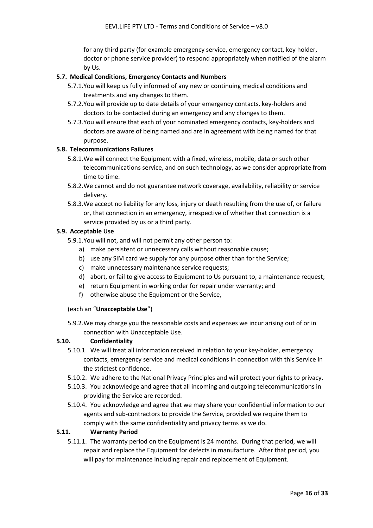for any third party (for example emergency service, emergency contact, key holder, doctor or phone service provider) to respond appropriately when notified of the alarm by Us.

#### **5.7. Medical Conditions, Emergency Contacts and Numbers**

- 5.7.1.You will keep us fully informed of any new or continuing medical conditions and treatments and any changes to them.
- 5.7.2.You will provide up to date details of your emergency contacts, key-holders and doctors to be contacted during an emergency and any changes to them.
- 5.7.3.You will ensure that each of your nominated emergency contacts, key-holders and doctors are aware of being named and are in agreement with being named for that purpose.

## **5.8. Telecommunications Failures**

- 5.8.1.We will connect the Equipment with a fixed, wireless, mobile, data or such other telecommunications service, and on such technology, as we consider appropriate from time to time.
- 5.8.2.We cannot and do not guarantee network coverage, availability, reliability or service delivery.
- 5.8.3.We accept no liability for any loss, injury or death resulting from the use of, or failure or, that connection in an emergency, irrespective of whether that connection is a service provided by us or a third party.

## **5.9. Acceptable Use**

- 5.9.1.You will not, and will not permit any other person to:
	- a) make persistent or unnecessary calls without reasonable cause;
	- b) use any SIM card we supply for any purpose other than for the Service;
	- c) make unnecessary maintenance service requests;
	- d) abort, or fail to give access to Equipment to Us pursuant to, a maintenance request;
	- e) return Equipment in working order for repair under warranty; and
	- f) otherwise abuse the Equipment or the Service,

#### (each an "**Unacceptable Use**")

5.9.2.We may charge you the reasonable costs and expenses we incur arising out of or in connection with Unacceptable Use.

#### **5.10. Confidentiality**

- 5.10.1. We will treat all information received in relation to your key-holder, emergency contacts, emergency service and medical conditions in connection with this Service in the strictest confidence.
- 5.10.2. We adhere to the National Privacy Principles and will protect your rights to privacy.
- 5.10.3. You acknowledge and agree that all incoming and outgoing telecommunications in providing the Service are recorded.
- 5.10.4. You acknowledge and agree that we may share your confidential information to our agents and sub-contractors to provide the Service, provided we require them to comply with the same confidentiality and privacy terms as we do.

#### **5.11. Warranty Period**

5.11.1. The warranty period on the Equipment is 24 months. During that period, we will repair and replace the Equipment for defects in manufacture. After that period, you will pay for maintenance including repair and replacement of Equipment.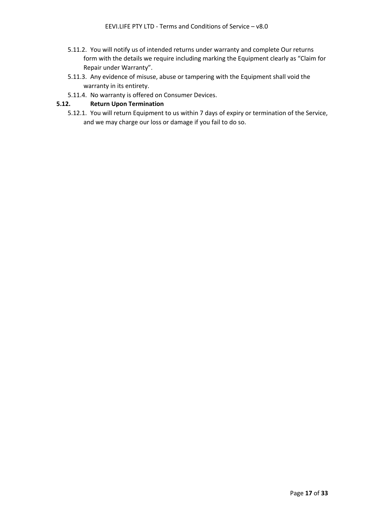- 5.11.2. You will notify us of intended returns under warranty and complete Our returns form with the details we require including marking the Equipment clearly as "Claim for Repair under Warranty".
- 5.11.3. Any evidence of misuse, abuse or tampering with the Equipment shall void the warranty in its entirety.
- 5.11.4. No warranty is offered on Consumer Devices.

## **5.12. Return Upon Termination**

5.12.1. You will return Equipment to us within 7 days of expiry or termination of the Service, and we may charge our loss or damage if you fail to do so.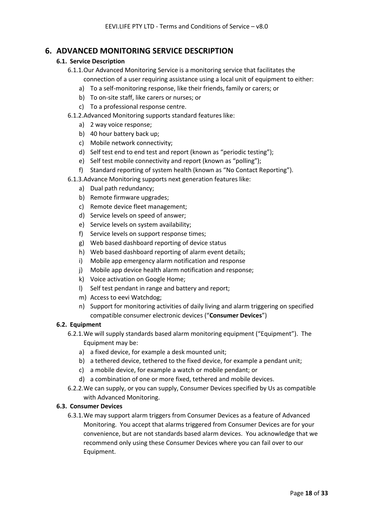# **6. ADVANCED MONITORING SERVICE DESCRIPTION**

## **6.1. Service Description**

- 6.1.1.Our Advanced Monitoring Service is a monitoring service that facilitates the connection of a user requiring assistance using a local unit of equipment to either:
	- a) To a self-monitoring response, like their friends, family or carers; or
	- b) To on-site staff, like carers or nurses; or
	- c) To a professional response centre.
- 6.1.2.Advanced Monitoring supports standard features like:
	- a) 2 way voice response;
	- b) 40 hour battery back up;
	- c) Mobile network connectivity;
	- d) Self test end to end test and report (known as "periodic testing");
	- e) Self test mobile connectivity and report (known as "polling");
	- f) Standard reporting of system health (known as "No Contact Reporting").
- 6.1.3.Advance Monitoring supports next generation features like:
	- a) Dual path redundancy;
	- b) Remote firmware upgrades;
	- c) Remote device fleet management;
	- d) Service levels on speed of answer;
	- e) Service levels on system availability;
	- f) Service levels on support response times;
	- g) Web based dashboard reporting of device status
	- h) Web based dashboard reporting of alarm event details;
	- i) Mobile app emergency alarm notification and response
	- j) Mobile app device health alarm notification and response;
	- k) Voice activation on Google Home;
	- l) Self test pendant in range and battery and report;
	- m) Access to eevi Watchdog;
	- n) Support for monitoring activities of daily living and alarm triggering on specified compatible consumer electronic devices ("**Consumer Devices**")

#### **6.2. Equipment**

- 6.2.1.We will supply standards based alarm monitoring equipment ("Equipment"). The Equipment may be:
	- a) a fixed device, for example a desk mounted unit;
	- b) a tethered device, tethered to the fixed device, for example a pendant unit;
	- c) a mobile device, for example a watch or mobile pendant; or
	- d) a combination of one or more fixed, tethered and mobile devices.
- 6.2.2.We can supply, or you can supply, Consumer Devices specified by Us as compatible with Advanced Monitoring.

## **6.3. Consumer Devices**

6.3.1.We may support alarm triggers from Consumer Devices as a feature of Advanced Monitoring. You accept that alarms triggered from Consumer Devices are for your convenience, but are not standards based alarm devices. You acknowledge that we recommend only using these Consumer Devices where you can fail over to our Equipment.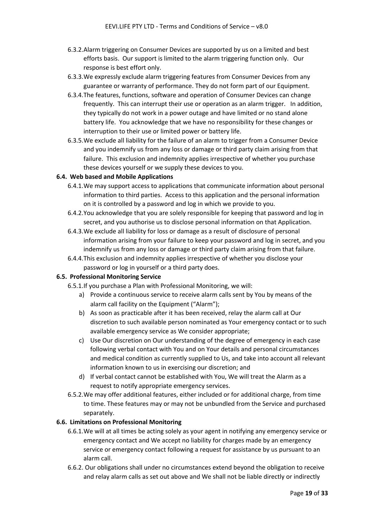- 6.3.2.Alarm triggering on Consumer Devices are supported by us on a limited and best efforts basis. Our support is limited to the alarm triggering function only. Our response is best effort only.
- 6.3.3.We expressly exclude alarm triggering features from Consumer Devices from any guarantee or warranty of performance. They do not form part of our Equipment.
- 6.3.4.The features, functions, software and operation of Consumer Devices can change frequently. This can interrupt their use or operation as an alarm trigger. In addition, they typically do not work in a power outage and have limited or no stand alone battery life. You acknowledge that we have no responsibility for these changes or interruption to their use or limited power or battery life.
- 6.3.5.We exclude all liability for the failure of an alarm to trigger from a Consumer Device and you indemnify us from any loss or damage or third party claim arising from that failure. This exclusion and indemnity applies irrespective of whether you purchase these devices yourself or we supply these devices to you.

## **6.4. Web based and Mobile Applications**

- 6.4.1.We may support access to applications that communicate information about personal information to third parties. Access to this application and the personal information on it is controlled by a password and log in which we provide to you.
- 6.4.2.You acknowledge that you are solely responsible for keeping that password and log in secret, and you authorise us to disclose personal information on that Application.
- 6.4.3.We exclude all liability for loss or damage as a result of disclosure of personal information arising from your failure to keep your password and log in secret, and you indemnify us from any loss or damage or third party claim arising from that failure.
- 6.4.4.This exclusion and indemnity applies irrespective of whether you disclose your password or log in yourself or a third party does.

#### **6.5. Professional Monitoring Service**

- 6.5.1.If you purchase a Plan with Professional Monitoring, we will:
	- a) Provide a continuous service to receive alarm calls sent by You by means of the alarm call facility on the Equipment ("Alarm");
	- b) As soon as practicable after it has been received, relay the alarm call at Our discretion to such available person nominated as Your emergency contact or to such available emergency service as We consider appropriate;
	- c) Use Our discretion on Our understanding of the degree of emergency in each case following verbal contact with You and on Your details and personal circumstances and medical condition as currently supplied to Us, and take into account all relevant information known to us in exercising our discretion; and
	- d) If verbal contact cannot be established with You, We will treat the Alarm as a request to notify appropriate emergency services.
- 6.5.2.We may offer additional features, either included or for additional charge, from time to time. These features may or may not be unbundled from the Service and purchased separately.

#### **6.6. Limitations on Professional Monitoring**

- 6.6.1.We will at all times be acting solely as your agent in notifying any emergency service or emergency contact and We accept no liability for charges made by an emergency service or emergency contact following a request for assistance by us pursuant to an alarm call.
- 6.6.2. Our obligations shall under no circumstances extend beyond the obligation to receive and relay alarm calls as set out above and We shall not be liable directly or indirectly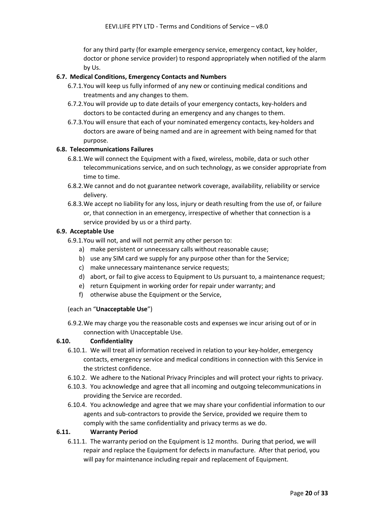for any third party (for example emergency service, emergency contact, key holder, doctor or phone service provider) to respond appropriately when notified of the alarm by Us.

#### **6.7. Medical Conditions, Emergency Contacts and Numbers**

- 6.7.1.You will keep us fully informed of any new or continuing medical conditions and treatments and any changes to them.
- 6.7.2.You will provide up to date details of your emergency contacts, key-holders and doctors to be contacted during an emergency and any changes to them.
- 6.7.3.You will ensure that each of your nominated emergency contacts, key-holders and doctors are aware of being named and are in agreement with being named for that purpose.

#### **6.8. Telecommunications Failures**

- 6.8.1.We will connect the Equipment with a fixed, wireless, mobile, data or such other telecommunications service, and on such technology, as we consider appropriate from time to time.
- 6.8.2.We cannot and do not guarantee network coverage, availability, reliability or service delivery.
- 6.8.3.We accept no liability for any loss, injury or death resulting from the use of, or failure or, that connection in an emergency, irrespective of whether that connection is a service provided by us or a third party.

## **6.9. Acceptable Use**

- 6.9.1.You will not, and will not permit any other person to:
	- a) make persistent or unnecessary calls without reasonable cause;
	- b) use any SIM card we supply for any purpose other than for the Service;
	- c) make unnecessary maintenance service requests;
	- d) abort, or fail to give access to Equipment to Us pursuant to, a maintenance request;
	- e) return Equipment in working order for repair under warranty; and
	- f) otherwise abuse the Equipment or the Service,

#### (each an "**Unacceptable Use**")

6.9.2.We may charge you the reasonable costs and expenses we incur arising out of or in connection with Unacceptable Use.

#### **6.10. Confidentiality**

- 6.10.1. We will treat all information received in relation to your key-holder, emergency contacts, emergency service and medical conditions in connection with this Service in the strictest confidence.
- 6.10.2. We adhere to the National Privacy Principles and will protect your rights to privacy.
- 6.10.3. You acknowledge and agree that all incoming and outgoing telecommunications in providing the Service are recorded.
- 6.10.4. You acknowledge and agree that we may share your confidential information to our agents and sub-contractors to provide the Service, provided we require them to comply with the same confidentiality and privacy terms as we do.

#### **6.11. Warranty Period**

6.11.1. The warranty period on the Equipment is 12 months. During that period, we will repair and replace the Equipment for defects in manufacture. After that period, you will pay for maintenance including repair and replacement of Equipment.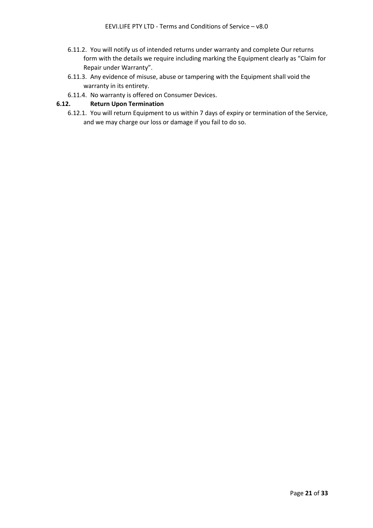- 6.11.2. You will notify us of intended returns under warranty and complete Our returns form with the details we require including marking the Equipment clearly as "Claim for Repair under Warranty".
- 6.11.3. Any evidence of misuse, abuse or tampering with the Equipment shall void the warranty in its entirety.
- 6.11.4. No warranty is offered on Consumer Devices.

## **6.12. Return Upon Termination**

6.12.1. You will return Equipment to us within 7 days of expiry or termination of the Service, and we may charge our loss or damage if you fail to do so.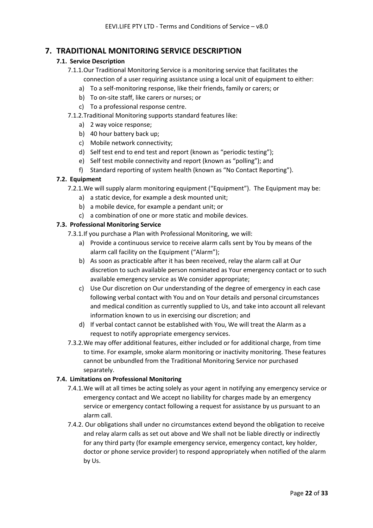# **7. TRADITIONAL MONITORING SERVICE DESCRIPTION**

## **7.1. Service Description**

- 7.1.1.Our Traditional Monitoring Service is a monitoring service that facilitates the connection of a user requiring assistance using a local unit of equipment to either:
	- a) To a self-monitoring response, like their friends, family or carers; or
	- b) To on-site staff, like carers or nurses; or
	- c) To a professional response centre.

#### 7.1.2.Traditional Monitoring supports standard features like:

- a) 2 way voice response;
- b) 40 hour battery back up;
- c) Mobile network connectivity;
- d) Self test end to end test and report (known as "periodic testing");
- e) Self test mobile connectivity and report (known as "polling"); and
- f) Standard reporting of system health (known as "No Contact Reporting").

## **7.2. Equipment**

7.2.1.We will supply alarm monitoring equipment ("Equipment"). The Equipment may be:

- a) a static device, for example a desk mounted unit;
- b) a mobile device, for example a pendant unit; or
- c) a combination of one or more static and mobile devices.

## **7.3. Professional Monitoring Service**

7.3.1.If you purchase a Plan with Professional Monitoring, we will:

- a) Provide a continuous service to receive alarm calls sent by You by means of the alarm call facility on the Equipment ("Alarm");
- b) As soon as practicable after it has been received, relay the alarm call at Our discretion to such available person nominated as Your emergency contact or to such available emergency service as We consider appropriate;
- c) Use Our discretion on Our understanding of the degree of emergency in each case following verbal contact with You and on Your details and personal circumstances and medical condition as currently supplied to Us, and take into account all relevant information known to us in exercising our discretion; and
- d) If verbal contact cannot be established with You, We will treat the Alarm as a request to notify appropriate emergency services.
- 7.3.2.We may offer additional features, either included or for additional charge, from time to time. For example, smoke alarm monitoring or inactivity monitoring. These features cannot be unbundled from the Traditional Monitoring Service nor purchased separately.

## **7.4. Limitations on Professional Monitoring**

- 7.4.1.We will at all times be acting solely as your agent in notifying any emergency service or emergency contact and We accept no liability for charges made by an emergency service or emergency contact following a request for assistance by us pursuant to an alarm call.
- 7.4.2. Our obligations shall under no circumstances extend beyond the obligation to receive and relay alarm calls as set out above and We shall not be liable directly or indirectly for any third party (for example emergency service, emergency contact, key holder, doctor or phone service provider) to respond appropriately when notified of the alarm by Us.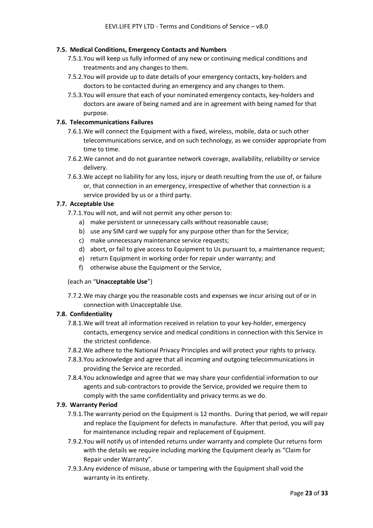#### **7.5. Medical Conditions, Emergency Contacts and Numbers**

- 7.5.1.You will keep us fully informed of any new or continuing medical conditions and treatments and any changes to them.
- 7.5.2.You will provide up to date details of your emergency contacts, key-holders and doctors to be contacted during an emergency and any changes to them.
- 7.5.3.You will ensure that each of your nominated emergency contacts, key-holders and doctors are aware of being named and are in agreement with being named for that purpose.

#### **7.6. Telecommunications Failures**

- 7.6.1.We will connect the Equipment with a fixed, wireless, mobile, data or such other telecommunications service, and on such technology, as we consider appropriate from time to time.
- 7.6.2.We cannot and do not guarantee network coverage, availability, reliability or service delivery.
- 7.6.3.We accept no liability for any loss, injury or death resulting from the use of, or failure or, that connection in an emergency, irrespective of whether that connection is a service provided by us or a third party.

## **7.7. Acceptable Use**

- 7.7.1.You will not, and will not permit any other person to:
	- a) make persistent or unnecessary calls without reasonable cause;
	- b) use any SIM card we supply for any purpose other than for the Service;
	- c) make unnecessary maintenance service requests;
	- d) abort, or fail to give access to Equipment to Us pursuant to, a maintenance request;
	- e) return Equipment in working order for repair under warranty; and
	- f) otherwise abuse the Equipment or the Service,

#### (each an "**Unacceptable Use**")

7.7.2.We may charge you the reasonable costs and expenses we incur arising out of or in connection with Unacceptable Use.

#### **7.8. Confidentiality**

- 7.8.1.We will treat all information received in relation to your key-holder, emergency contacts, emergency service and medical conditions in connection with this Service in the strictest confidence.
- 7.8.2.We adhere to the National Privacy Principles and will protect your rights to privacy.
- 7.8.3.You acknowledge and agree that all incoming and outgoing telecommunications in providing the Service are recorded.
- 7.8.4.You acknowledge and agree that we may share your confidential information to our agents and sub-contractors to provide the Service, provided we require them to comply with the same confidentiality and privacy terms as we do.

#### **7.9. Warranty Period**

- 7.9.1.The warranty period on the Equipment is 12 months. During that period, we will repair and replace the Equipment for defects in manufacture. After that period, you will pay for maintenance including repair and replacement of Equipment.
- 7.9.2.You will notify us of intended returns under warranty and complete Our returns form with the details we require including marking the Equipment clearly as "Claim for Repair under Warranty".
- 7.9.3.Any evidence of misuse, abuse or tampering with the Equipment shall void the warranty in its entirety.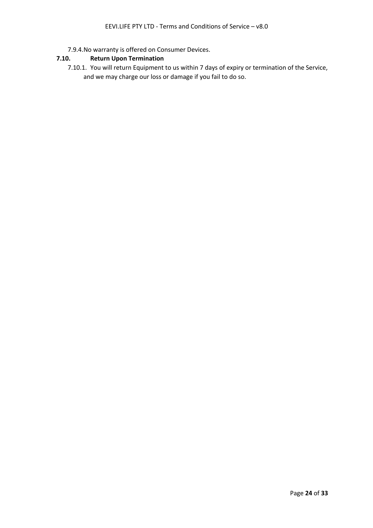7.9.4.No warranty is offered on Consumer Devices.

## **7.10. Return Upon Termination**

7.10.1. You will return Equipment to us within 7 days of expiry or termination of the Service, and we may charge our loss or damage if you fail to do so.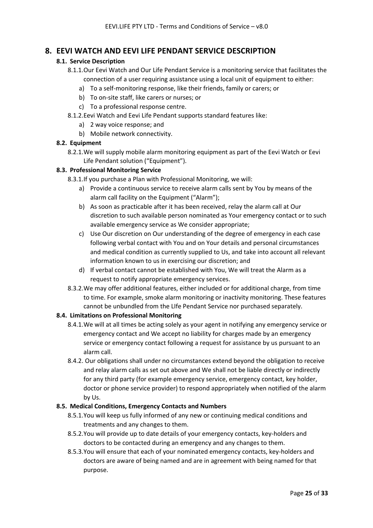# **8. EEVI WATCH AND EEVI LIFE PENDANT SERVICE DESCRIPTION**

## **8.1. Service Description**

- 8.1.1.Our Eevi Watch and Our Life Pendant Service is a monitoring service that facilitates the connection of a user requiring assistance using a local unit of equipment to either:
	- a) To a self-monitoring response, like their friends, family or carers; or
	- b) To on-site staff, like carers or nurses; or
	- c) To a professional response centre.
- 8.1.2.Eevi Watch and Eevi Life Pendant supports standard features like:
	- a) 2 way voice response; and
	- b) Mobile network connectivity.

## **8.2. Equipment**

8.2.1.We will supply mobile alarm monitoring equipment as part of the Eevi Watch or Eevi Life Pendant solution ("Equipment").

## **8.3. Professional Monitoring Service**

- 8.3.1.If you purchase a Plan with Professional Monitoring, we will:
	- a) Provide a continuous service to receive alarm calls sent by You by means of the alarm call facility on the Equipment ("Alarm");
	- b) As soon as practicable after it has been received, relay the alarm call at Our discretion to such available person nominated as Your emergency contact or to such available emergency service as We consider appropriate;
	- c) Use Our discretion on Our understanding of the degree of emergency in each case following verbal contact with You and on Your details and personal circumstances and medical condition as currently supplied to Us, and take into account all relevant information known to us in exercising our discretion; and
	- d) If verbal contact cannot be established with You, We will treat the Alarm as a request to notify appropriate emergency services.
- 8.3.2.We may offer additional features, either included or for additional charge, from time to time. For example, smoke alarm monitoring or inactivity monitoring. These features cannot be unbundled from the LIfe Pendant Service nor purchased separately.

## **8.4. Limitations on Professional Monitoring**

- 8.4.1.We will at all times be acting solely as your agent in notifying any emergency service or emergency contact and We accept no liability for charges made by an emergency service or emergency contact following a request for assistance by us pursuant to an alarm call.
- 8.4.2. Our obligations shall under no circumstances extend beyond the obligation to receive and relay alarm calls as set out above and We shall not be liable directly or indirectly for any third party (for example emergency service, emergency contact, key holder, doctor or phone service provider) to respond appropriately when notified of the alarm by Us.

#### **8.5. Medical Conditions, Emergency Contacts and Numbers**

- 8.5.1.You will keep us fully informed of any new or continuing medical conditions and treatments and any changes to them.
- 8.5.2.You will provide up to date details of your emergency contacts, key-holders and doctors to be contacted during an emergency and any changes to them.
- 8.5.3.You will ensure that each of your nominated emergency contacts, key-holders and doctors are aware of being named and are in agreement with being named for that purpose.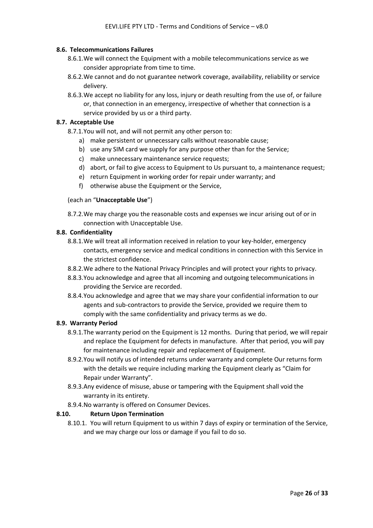#### **8.6. Telecommunications Failures**

- 8.6.1.We will connect the Equipment with a mobile telecommunications service as we consider appropriate from time to time.
- 8.6.2.We cannot and do not guarantee network coverage, availability, reliability or service delivery.
- 8.6.3.We accept no liability for any loss, injury or death resulting from the use of, or failure or, that connection in an emergency, irrespective of whether that connection is a service provided by us or a third party.

## **8.7. Acceptable Use**

- 8.7.1.You will not, and will not permit any other person to:
	- a) make persistent or unnecessary calls without reasonable cause;
	- b) use any SIM card we supply for any purpose other than for the Service;
	- c) make unnecessary maintenance service requests;
	- d) abort, or fail to give access to Equipment to Us pursuant to, a maintenance request;
	- e) return Equipment in working order for repair under warranty; and
	- f) otherwise abuse the Equipment or the Service,

#### (each an "**Unacceptable Use**")

8.7.2.We may charge you the reasonable costs and expenses we incur arising out of or in connection with Unacceptable Use.

## **8.8. Confidentiality**

- 8.8.1.We will treat all information received in relation to your key-holder, emergency contacts, emergency service and medical conditions in connection with this Service in the strictest confidence.
- 8.8.2.We adhere to the National Privacy Principles and will protect your rights to privacy.
- 8.8.3.You acknowledge and agree that all incoming and outgoing telecommunications in providing the Service are recorded.
- 8.8.4.You acknowledge and agree that we may share your confidential information to our agents and sub-contractors to provide the Service, provided we require them to comply with the same confidentiality and privacy terms as we do.

#### **8.9. Warranty Period**

- 8.9.1.The warranty period on the Equipment is 12 months. During that period, we will repair and replace the Equipment for defects in manufacture. After that period, you will pay for maintenance including repair and replacement of Equipment.
- 8.9.2.You will notify us of intended returns under warranty and complete Our returns form with the details we require including marking the Equipment clearly as "Claim for Repair under Warranty".
- 8.9.3.Any evidence of misuse, abuse or tampering with the Equipment shall void the warranty in its entirety.
- 8.9.4.No warranty is offered on Consumer Devices.

#### **8.10. Return Upon Termination**

8.10.1. You will return Equipment to us within 7 days of expiry or termination of the Service, and we may charge our loss or damage if you fail to do so.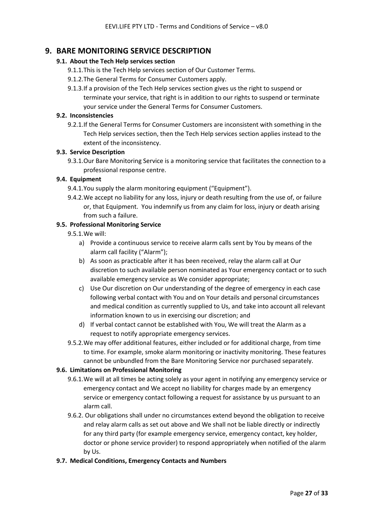# **9. BARE MONITORING SERVICE DESCRIPTION**

## **9.1. About the Tech Help services section**

- 9.1.1.This is the Tech Help services section of Our Customer Terms.
- 9.1.2.The General Terms for Consumer Customers apply.
- 9.1.3.If a provision of the Tech Help services section gives us the right to suspend or terminate your service, that right is in addition to our rights to suspend or terminate your service under the General Terms for Consumer Customers.

#### **9.2. Inconsistencies**

9.2.1.If the General Terms for Consumer Customers are inconsistent with something in the Tech Help services section, then the Tech Help services section applies instead to the extent of the inconsistency.

#### **9.3. Service Description**

9.3.1.Our Bare Monitoring Service is a monitoring service that facilitates the connection to a professional response centre.

## **9.4. Equipment**

- 9.4.1.You supply the alarm monitoring equipment ("Equipment").
- 9.4.2.We accept no liability for any loss, injury or death resulting from the use of, or failure or, that Equipment. You indemnify us from any claim for loss, injury or death arising from such a failure.

## **9.5. Professional Monitoring Service**

- 9.5.1.We will:
	- a) Provide a continuous service to receive alarm calls sent by You by means of the alarm call facility ("Alarm");
	- b) As soon as practicable after it has been received, relay the alarm call at Our discretion to such available person nominated as Your emergency contact or to such available emergency service as We consider appropriate;
	- c) Use Our discretion on Our understanding of the degree of emergency in each case following verbal contact with You and on Your details and personal circumstances and medical condition as currently supplied to Us, and take into account all relevant information known to us in exercising our discretion; and
	- d) If verbal contact cannot be established with You, We will treat the Alarm as a request to notify appropriate emergency services.
- 9.5.2.We may offer additional features, either included or for additional charge, from time to time. For example, smoke alarm monitoring or inactivity monitoring. These features cannot be unbundled from the Bare Monitoring Service nor purchased separately.

## **9.6. Limitations on Professional Monitoring**

- 9.6.1.We will at all times be acting solely as your agent in notifying any emergency service or emergency contact and We accept no liability for charges made by an emergency service or emergency contact following a request for assistance by us pursuant to an alarm call.
- 9.6.2. Our obligations shall under no circumstances extend beyond the obligation to receive and relay alarm calls as set out above and We shall not be liable directly or indirectly for any third party (for example emergency service, emergency contact, key holder, doctor or phone service provider) to respond appropriately when notified of the alarm by Us.

#### **9.7. Medical Conditions, Emergency Contacts and Numbers**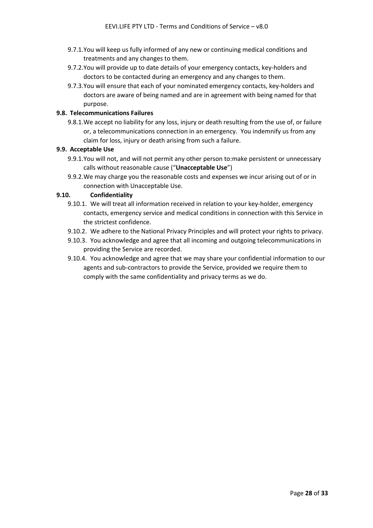- 9.7.1.You will keep us fully informed of any new or continuing medical conditions and treatments and any changes to them.
- 9.7.2.You will provide up to date details of your emergency contacts, key-holders and doctors to be contacted during an emergency and any changes to them.
- 9.7.3.You will ensure that each of your nominated emergency contacts, key-holders and doctors are aware of being named and are in agreement with being named for that purpose.

## **9.8. Telecommunications Failures**

9.8.1.We accept no liability for any loss, injury or death resulting from the use of, or failure or, a telecommunications connection in an emergency. You indemnify us from any claim for loss, injury or death arising from such a failure.

#### **9.9. Acceptable Use**

- 9.9.1.You will not, and will not permit any other person to:make persistent or unnecessary calls without reasonable cause ("**Unacceptable Use**")
- 9.9.2.We may charge you the reasonable costs and expenses we incur arising out of or in connection with Unacceptable Use.

## **9.10. Confidentiality**

- 9.10.1. We will treat all information received in relation to your key-holder, emergency contacts, emergency service and medical conditions in connection with this Service in the strictest confidence.
- 9.10.2. We adhere to the National Privacy Principles and will protect your rights to privacy.
- 9.10.3. You acknowledge and agree that all incoming and outgoing telecommunications in providing the Service are recorded.
- 9.10.4. You acknowledge and agree that we may share your confidential information to our agents and sub-contractors to provide the Service, provided we require them to comply with the same confidentiality and privacy terms as we do.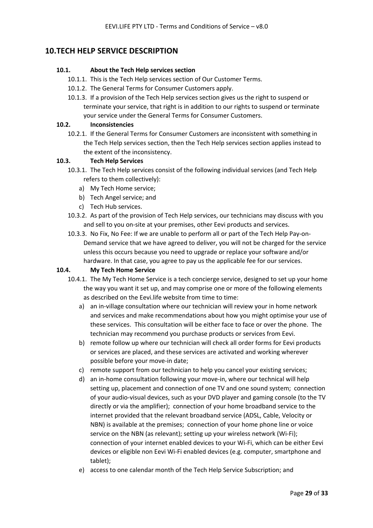# **10.TECH HELP SERVICE DESCRIPTION**

#### **10.1. About the Tech Help services section**

- 10.1.1. This is the Tech Help services section of Our Customer Terms.
- 10.1.2. The General Terms for Consumer Customers apply.
- 10.1.3. If a provision of the Tech Help services section gives us the right to suspend or terminate your service, that right is in addition to our rights to suspend or terminate your service under the General Terms for Consumer Customers.

#### **10.2. Inconsistencies**

10.2.1. If the General Terms for Consumer Customers are inconsistent with something in the Tech Help services section, then the Tech Help services section applies instead to the extent of the inconsistency.

#### **10.3. Tech Help Services**

- 10.3.1. The Tech Help services consist of the following individual services (and Tech Help refers to them collectively):
	- a) My Tech Home service;
	- b) Tech Angel service; and
	- c) Tech Hub services.
- 10.3.2. As part of the provision of Tech Help services, our technicians may discuss with you and sell to you on-site at your premises, other Eevi products and services.
- 10.3.3. No Fix, No Fee: If we are unable to perform all or part of the Tech Help Pay-on-Demand service that we have agreed to deliver, you will not be charged for the service unless this occurs because you need to upgrade or replace your software and/or hardware. In that case, you agree to pay us the applicable fee for our services.

#### **10.4. My Tech Home Service**

- 10.4.1. The My Tech Home Service is a tech concierge service, designed to set up your home the way you want it set up, and may comprise one or more of the following elements as described on the Eevi.life website from time to time:
	- a) an in-village consultation where our technician will review your in home network and services and make recommendations about how you might optimise your use of these services. This consultation will be either face to face or over the phone. The technician may recommend you purchase products or services from Eevi.
	- b) remote follow up where our technician will check all order forms for Eevi products or services are placed, and these services are activated and working wherever possible before your move-in date;
	- c) remote support from our technician to help you cancel your existing services;
	- d) an in-home consultation following your move-in, where our technical will help setting up, placement and connection of one TV and one sound system; connection of your audio-visual devices, such as your DVD player and gaming console (to the TV directly or via the amplifier); connection of your home broadband service to the internet provided that the relevant broadband service (ADSL, Cable, Velocity or NBN) is available at the premises; connection of your home phone line or voice service on the NBN (as relevant); setting up your wireless network (Wi-Fi); connection of your internet enabled devices to your Wi-Fi, which can be either Eevi devices or eligible non Eevi Wi-Fi enabled devices (e.g. computer, smartphone and tablet);
	- e) access to one calendar month of the Tech Help Service Subscription; and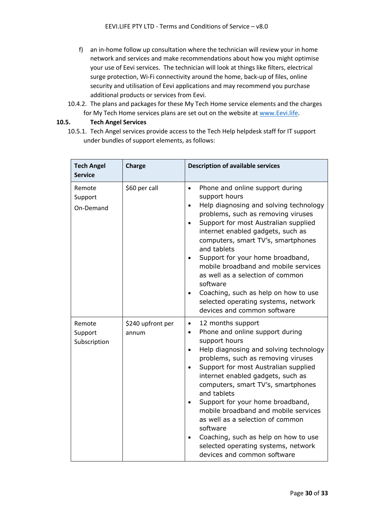- f) an in-home follow up consultation where the technician will review your in home network and services and make recommendations about how you might optimise your use of Eevi services. The technician will look at things like filters, electrical surge protection, Wi-Fi connectivity around the home, back-up of files, online security and utilisation of Eevi applications and may recommend you purchase additional products or services from Eevi.
- 10.4.2. The plans and packages for these My Tech Home service elements and the charges for My Tech Home services plans are set out on the website at www.Eevi.life.

## **10.5. Tech Angel Services**

10.5.1. Tech Angel services provide access to the Tech Help helpdesk staff for IT support under bundles of support elements, as follows:

| <b>Tech Angel</b><br><b>Service</b> | <b>Charge</b>              | <b>Description of available services</b>                                                                                                                                                                                                                                                                                                                                                                                                                                                                                                                                                           |
|-------------------------------------|----------------------------|----------------------------------------------------------------------------------------------------------------------------------------------------------------------------------------------------------------------------------------------------------------------------------------------------------------------------------------------------------------------------------------------------------------------------------------------------------------------------------------------------------------------------------------------------------------------------------------------------|
| Remote<br>Support<br>On-Demand      | \$60 per call              | Phone and online support during<br>$\bullet$<br>support hours<br>Help diagnosing and solving technology<br>$\bullet$<br>problems, such as removing viruses<br>Support for most Australian supplied<br>$\bullet$<br>internet enabled gadgets, such as<br>computers, smart TV's, smartphones<br>and tablets<br>Support for your home broadband,<br>mobile broadband and mobile services<br>as well as a selection of common<br>software<br>Coaching, such as help on how to use<br>selected operating systems, network<br>devices and common software                                                |
| Remote<br>Support<br>Subscription   | \$240 upfront per<br>annum | 12 months support<br>$\bullet$<br>Phone and online support during<br>$\bullet$<br>support hours<br>Help diagnosing and solving technology<br>$\bullet$<br>problems, such as removing viruses<br>Support for most Australian supplied<br>$\bullet$<br>internet enabled gadgets, such as<br>computers, smart TV's, smartphones<br>and tablets<br>Support for your home broadband,<br>$\bullet$<br>mobile broadband and mobile services<br>as well as a selection of common<br>software<br>Coaching, such as help on how to use<br>selected operating systems, network<br>devices and common software |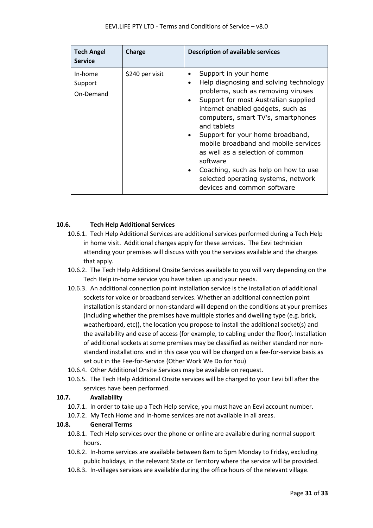| <b>Tech Angel</b><br><b>Service</b> | Charge          | <b>Description of available services</b>                                                                                                                                                                                                                                                                                                                                                                                                                                                                                                  |
|-------------------------------------|-----------------|-------------------------------------------------------------------------------------------------------------------------------------------------------------------------------------------------------------------------------------------------------------------------------------------------------------------------------------------------------------------------------------------------------------------------------------------------------------------------------------------------------------------------------------------|
| In-home<br>Support<br>On-Demand     | \$240 per visit | Support in your home<br>٠<br>Help diagnosing and solving technology<br>$\bullet$<br>problems, such as removing viruses<br>Support for most Australian supplied<br>$\bullet$<br>internet enabled gadgets, such as<br>computers, smart TV's, smartphones<br>and tablets<br>Support for your home broadband,<br>$\bullet$<br>mobile broadband and mobile services<br>as well as a selection of common<br>software<br>Coaching, such as help on how to use<br>$\bullet$<br>selected operating systems, network<br>devices and common software |

#### **10.6. Tech Help Additional Services**

- 10.6.1. Tech Help Additional Services are additional services performed during a Tech Help in home visit. Additional charges apply for these services. The Eevi technician attending your premises will discuss with you the services available and the charges that apply.
- 10.6.2. The Tech Help Additional Onsite Services available to you will vary depending on the Tech Help in-home service you have taken up and your needs.
- 10.6.3. An additional connection point installation service is the installation of additional sockets for voice or broadband services. Whether an additional connection point installation is standard or non-standard will depend on the conditions at your premises (including whether the premises have multiple stories and dwelling type (e.g. brick, weatherboard, etc)), the location you propose to install the additional socket(s) and the availability and ease of access (for example, to cabling under the floor). Installation of additional sockets at some premises may be classified as neither standard nor nonstandard installations and in this case you will be charged on a fee-for-service basis as set out in the Fee-for-Service (Other Work We Do for You)
- 10.6.4. Other Additional Onsite Services may be available on request.
- 10.6.5. The Tech Help Additional Onsite services will be charged to your Eevi bill after the services have been performed.

#### **10.7. Availability**

- 10.7.1. In order to take up a Tech Help service, you must have an Eevi account number.
- 10.7.2. My Tech Home and In-home services are not available in all areas.

#### **10.8. General Terms**

- 10.8.1. Tech Help services over the phone or online are available during normal support hours.
- 10.8.2. In-home services are available between 8am to 5pm Monday to Friday, excluding public holidays, in the relevant State or Territory where the service will be provided.
- 10.8.3. In-villages services are available during the office hours of the relevant village.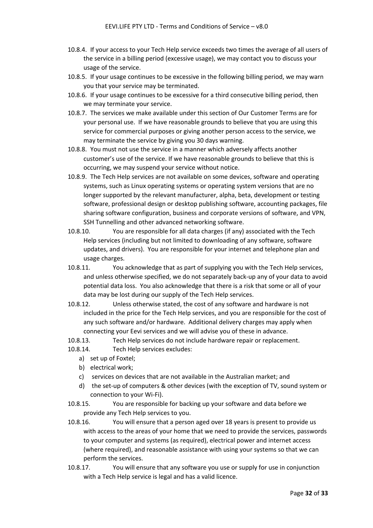- 10.8.4. If your access to your Tech Help service exceeds two times the average of all users of the service in a billing period (excessive usage), we may contact you to discuss your usage of the service.
- 10.8.5. If your usage continues to be excessive in the following billing period, we may warn you that your service may be terminated.
- 10.8.6. If your usage continues to be excessive for a third consecutive billing period, then we may terminate your service.
- 10.8.7. The services we make available under this section of Our Customer Terms are for your personal use. If we have reasonable grounds to believe that you are using this service for commercial purposes or giving another person access to the service, we may terminate the service by giving you 30 days warning.
- 10.8.8. You must not use the service in a manner which adversely affects another customer's use of the service. If we have reasonable grounds to believe that this is occurring, we may suspend your service without notice.
- 10.8.9. The Tech Help services are not available on some devices, software and operating systems, such as Linux operating systems or operating system versions that are no longer supported by the relevant manufacturer, alpha, beta, development or testing software, professional design or desktop publishing software, accounting packages, file sharing software configuration, business and corporate versions of software, and VPN, SSH Tunnelling and other advanced networking software.
- 10.8.10. You are responsible for all data charges (if any) associated with the Tech Help services (including but not limited to downloading of any software, software updates, and drivers). You are responsible for your internet and telephone plan and usage charges.
- 10.8.11. You acknowledge that as part of supplying you with the Tech Help services, and unless otherwise specified, we do not separately back-up any of your data to avoid potential data loss. You also acknowledge that there is a risk that some or all of your data may be lost during our supply of the Tech Help services.
- 10.8.12. Unless otherwise stated, the cost of any software and hardware is not included in the price for the Tech Help services, and you are responsible for the cost of any such software and/or hardware. Additional delivery charges may apply when connecting your Eevi services and we will advise you of these in advance.
- 10.8.13. Tech Help services do not include hardware repair or replacement.
- 10.8.14. Tech Help services excludes:
	- a) set up of Foxtel;
	- b) electrical work;
	- c) services on devices that are not available in the Australian market; and
	- d) the set-up of computers & other devices (with the exception of TV, sound system or connection to your Wi-Fi).
- 10.8.15. You are responsible for backing up your software and data before we provide any Tech Help services to you.
- 10.8.16. You will ensure that a person aged over 18 years is present to provide us with access to the areas of your home that we need to provide the services, passwords to your computer and systems (as required), electrical power and internet access (where required), and reasonable assistance with using your systems so that we can perform the services.
- 10.8.17. You will ensure that any software you use or supply for use in conjunction with a Tech Help service is legal and has a valid licence.